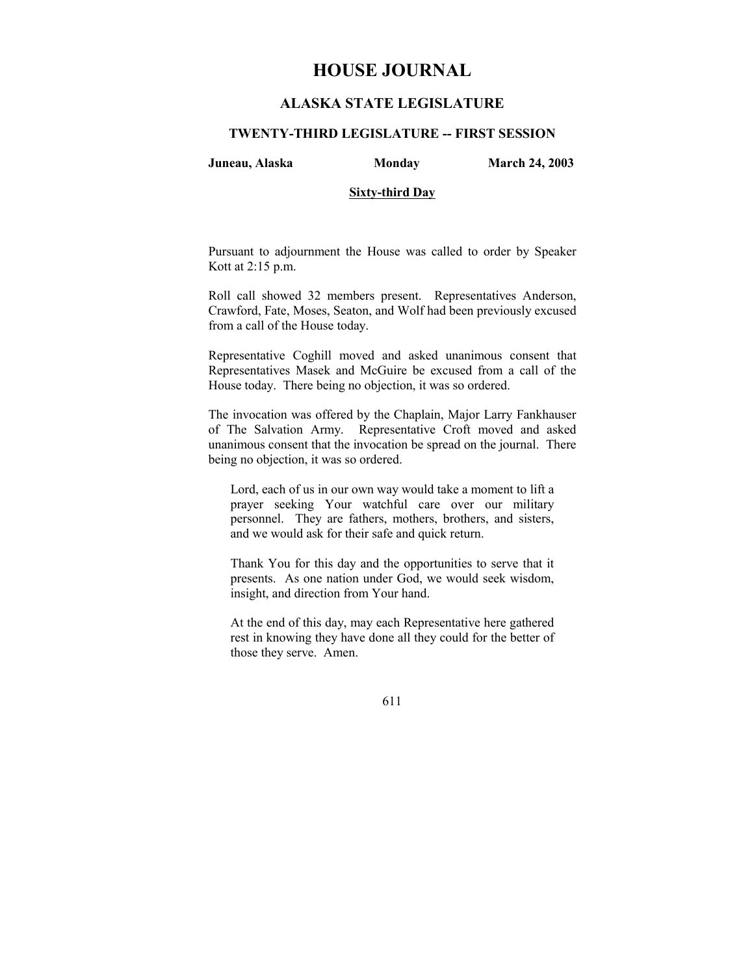# **HOUSE JOURNAL**

# **ALASKA STATE LEGISLATURE**

### **TWENTY-THIRD LEGISLATURE -- FIRST SESSION**

**Juneau, Alaska Monday March 24, 2003** 

### **Sixty-third Day**

Pursuant to adjournment the House was called to order by Speaker Kott at 2:15 p.m.

Roll call showed 32 members present. Representatives Anderson, Crawford, Fate, Moses, Seaton, and Wolf had been previously excused from a call of the House today.

Representative Coghill moved and asked unanimous consent that Representatives Masek and McGuire be excused from a call of the House today. There being no objection, it was so ordered.

The invocation was offered by the Chaplain, Major Larry Fankhauser of The Salvation Army. Representative Croft moved and asked unanimous consent that the invocation be spread on the journal. There being no objection, it was so ordered.

Lord, each of us in our own way would take a moment to lift a prayer seeking Your watchful care over our military personnel. They are fathers, mothers, brothers, and sisters, and we would ask for their safe and quick return.

Thank You for this day and the opportunities to serve that it presents. As one nation under God, we would seek wisdom, insight, and direction from Your hand.

At the end of this day, may each Representative here gathered rest in knowing they have done all they could for the better of those they serve. Amen.

611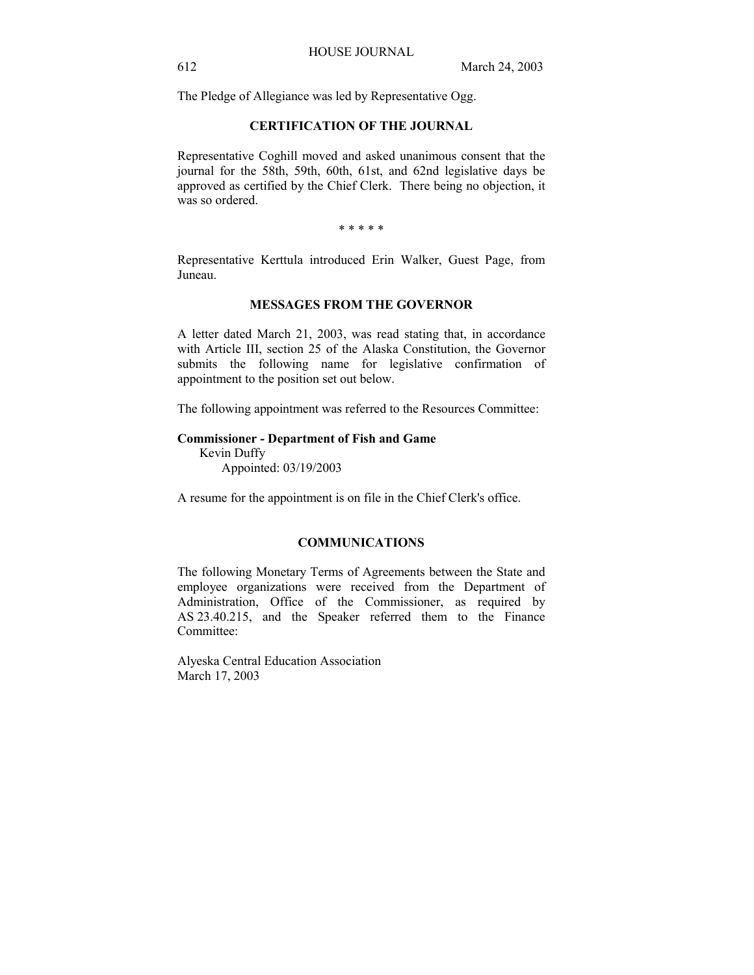The Pledge of Allegiance was led by Representative Ogg.

# **CERTIFICATION OF THE JOURNAL**

Representative Coghill moved and asked unanimous consent that the journal for the 58th, 59th, 60th, 61st, and 62nd legislative days be approved as certified by the Chief Clerk. There being no objection, it was so ordered.

\* \* \* \* \*

Representative Kerttula introduced Erin Walker, Guest Page, from Juneau.

# **MESSAGES FROM THE GOVERNOR**

A letter dated March 21, 2003, was read stating that, in accordance with Article III, section 25 of the Alaska Constitution, the Governor submits the following name for legislative confirmation of appointment to the position set out below.

The following appointment was referred to the Resources Committee:

### **Commissioner - Department of Fish and Game**

 Kevin Duffy Appointed: 03/19/2003

A resume for the appointment is on file in the Chief Clerk's office.

# **COMMUNICATIONS**

The following Monetary Terms of Agreements between the State and employee organizations were received from the Department of Administration, Office of the Commissioner, as required by AS 23.40.215, and the Speaker referred them to the Finance Committee:

Alyeska Central Education Association March 17, 2003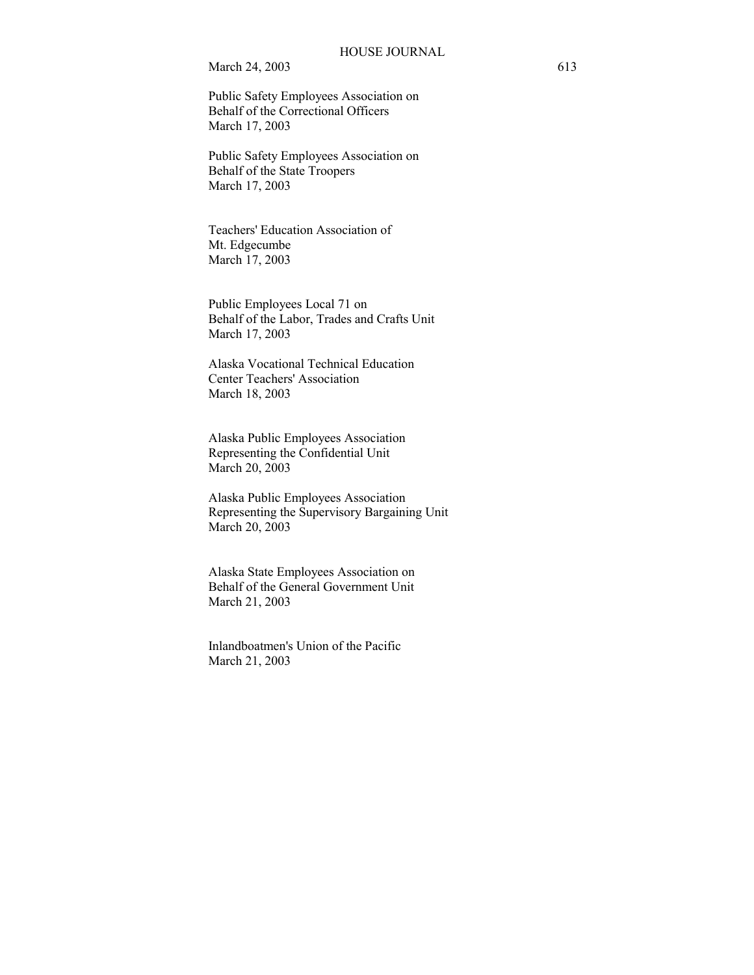Public Safety Employees Association on Behalf of the Correctional Officers March 17, 2003

Public Safety Employees Association on Behalf of the State Troopers March 17, 2003

Teachers' Education Association of Mt. Edgecumbe March 17, 2003

Public Employees Local 71 on Behalf of the Labor, Trades and Crafts Unit March 17, 2003

Alaska Vocational Technical Education Center Teachers' Association March 18, 2003

Alaska Public Employees Association Representing the Confidential Unit March 20, 2003

Alaska Public Employees Association Representing the Supervisory Bargaining Unit March 20, 2003

Alaska State Employees Association on Behalf of the General Government Unit March 21, 2003

Inlandboatmen's Union of the Pacific March 21, 2003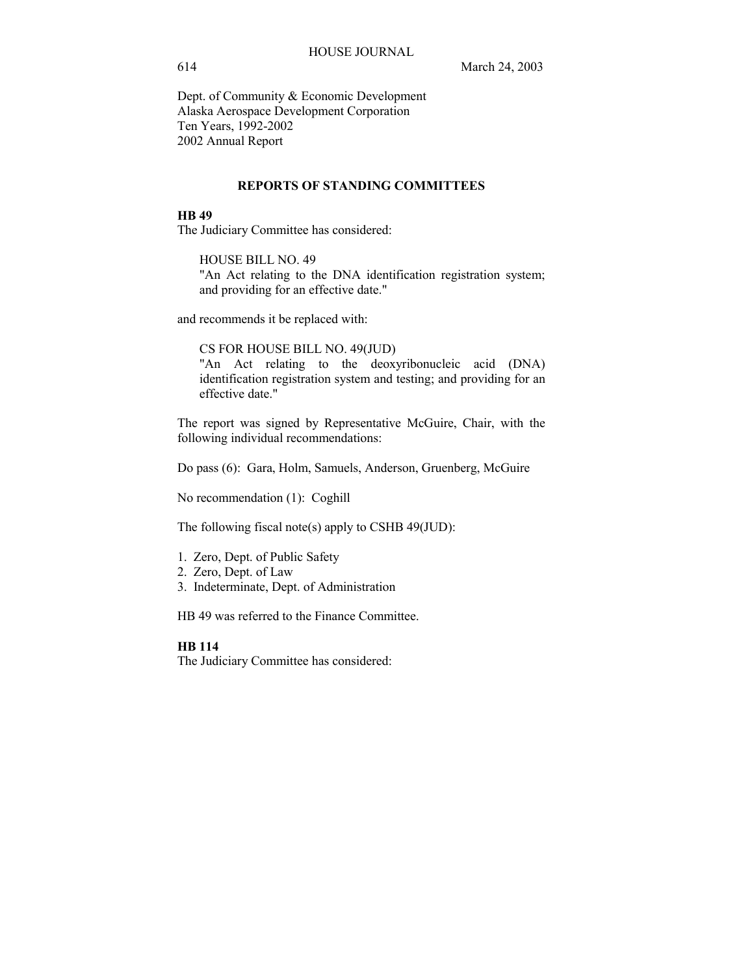Dept. of Community & Economic Development Alaska Aerospace Development Corporation Ten Years, 1992-2002 2002 Annual Report

### **REPORTS OF STANDING COMMITTEES**

### **HB 49**

The Judiciary Committee has considered:

HOUSE BILL NO. 49 "An Act relating to the DNA identification registration system; and providing for an effective date."

and recommends it be replaced with:

CS FOR HOUSE BILL NO. 49(JUD)

"An Act relating to the deoxyribonucleic acid (DNA) identification registration system and testing; and providing for an effective date."

The report was signed by Representative McGuire, Chair, with the following individual recommendations:

Do pass (6): Gara, Holm, Samuels, Anderson, Gruenberg, McGuire

No recommendation (1): Coghill

The following fiscal note(s) apply to CSHB 49(JUD):

- 1. Zero, Dept. of Public Safety
- 2. Zero, Dept. of Law
- 3. Indeterminate, Dept. of Administration

HB 49 was referred to the Finance Committee.

# **HB 114**

The Judiciary Committee has considered: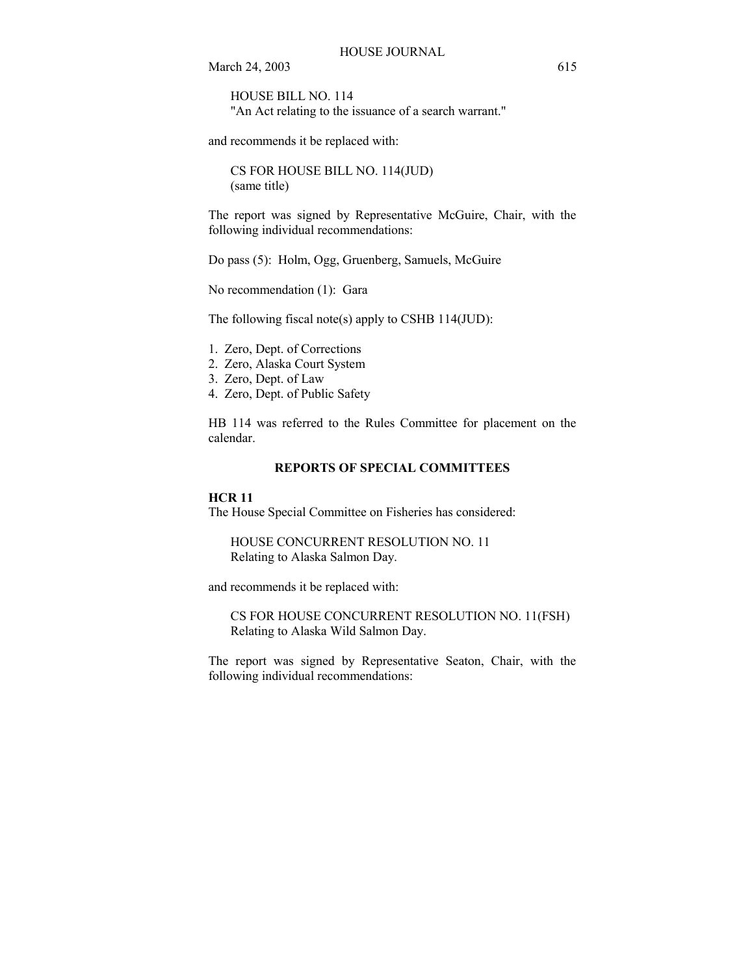HOUSE BILL NO. 114 "An Act relating to the issuance of a search warrant."

and recommends it be replaced with:

CS FOR HOUSE BILL NO. 114(JUD) (same title)

The report was signed by Representative McGuire, Chair, with the following individual recommendations:

Do pass (5): Holm, Ogg, Gruenberg, Samuels, McGuire

No recommendation (1): Gara

The following fiscal note(s) apply to CSHB 114(JUD):

- 1. Zero, Dept. of Corrections
- 2. Zero, Alaska Court System
- 3. Zero, Dept. of Law
- 4. Zero, Dept. of Public Safety

HB 114 was referred to the Rules Committee for placement on the calendar.

# **REPORTS OF SPECIAL COMMITTEES**

### **HCR 11**

The House Special Committee on Fisheries has considered:

HOUSE CONCURRENT RESOLUTION NO. 11 Relating to Alaska Salmon Day.

and recommends it be replaced with:

CS FOR HOUSE CONCURRENT RESOLUTION NO. 11(FSH) Relating to Alaska Wild Salmon Day.

The report was signed by Representative Seaton, Chair, with the following individual recommendations: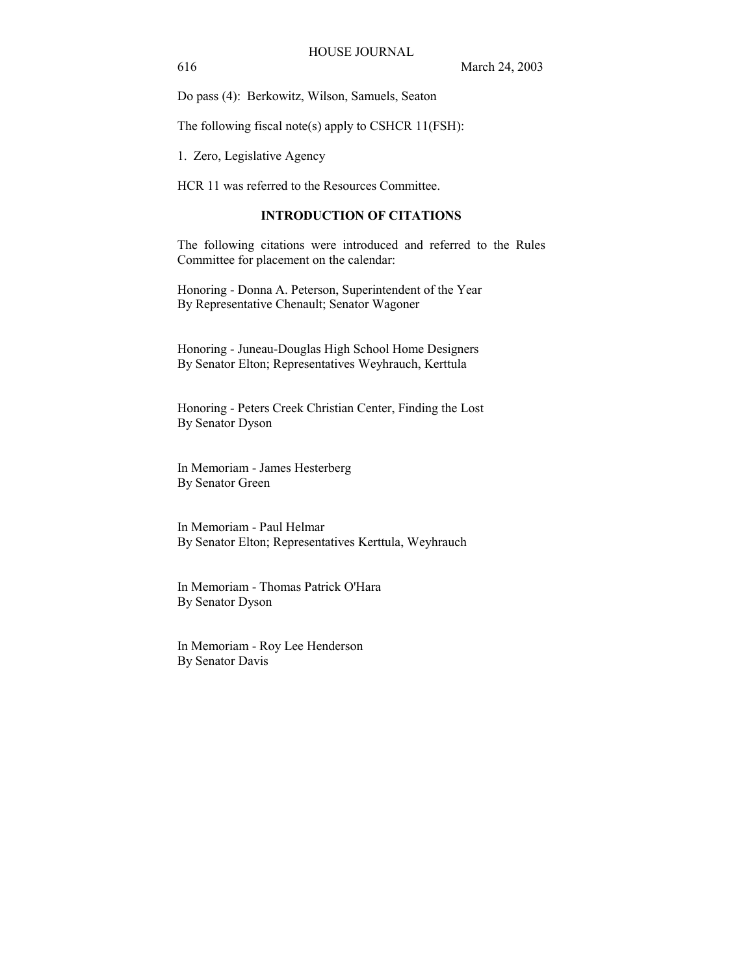Do pass (4): Berkowitz, Wilson, Samuels, Seaton

The following fiscal note(s) apply to CSHCR 11(FSH):

1. Zero, Legislative Agency

HCR 11 was referred to the Resources Committee.

### **INTRODUCTION OF CITATIONS**

The following citations were introduced and referred to the Rules Committee for placement on the calendar:

Honoring - Donna A. Peterson, Superintendent of the Year By Representative Chenault; Senator Wagoner

Honoring - Juneau-Douglas High School Home Designers By Senator Elton; Representatives Weyhrauch, Kerttula

Honoring - Peters Creek Christian Center, Finding the Lost By Senator Dyson

In Memoriam - James Hesterberg By Senator Green

In Memoriam - Paul Helmar By Senator Elton; Representatives Kerttula, Weyhrauch

In Memoriam - Thomas Patrick O'Hara By Senator Dyson

In Memoriam - Roy Lee Henderson By Senator Davis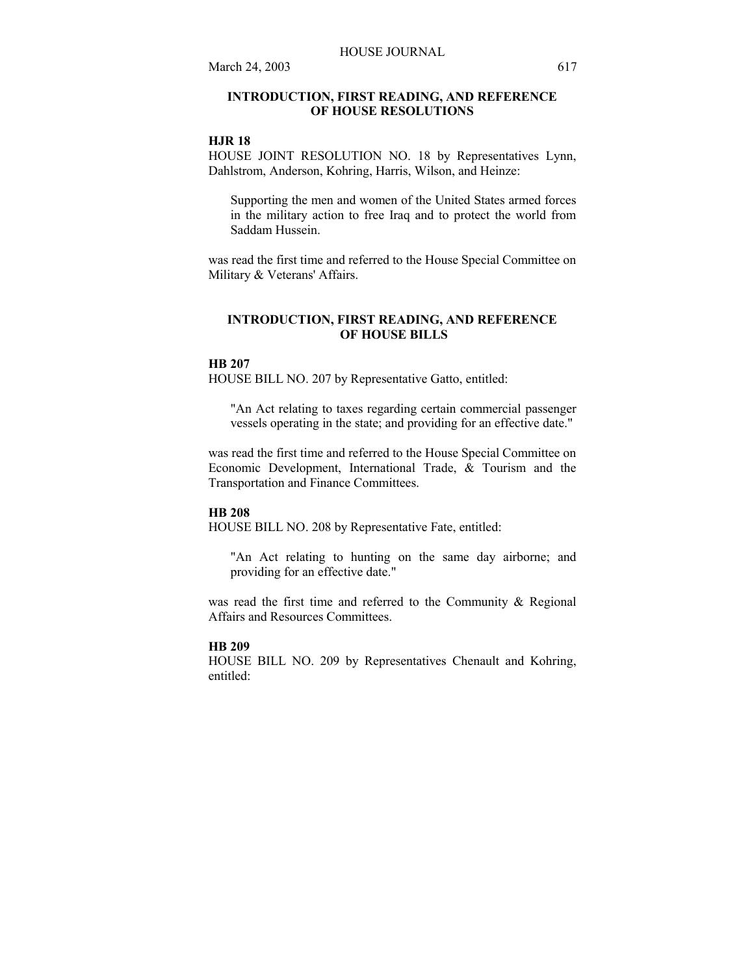# **INTRODUCTION, FIRST READING, AND REFERENCE OF HOUSE RESOLUTIONS**

### **HJR 18**

HOUSE JOINT RESOLUTION NO. 18 by Representatives Lynn, Dahlstrom, Anderson, Kohring, Harris, Wilson, and Heinze:

Supporting the men and women of the United States armed forces in the military action to free Iraq and to protect the world from Saddam Hussein.

was read the first time and referred to the House Special Committee on Military & Veterans' Affairs.

### **INTRODUCTION, FIRST READING, AND REFERENCE OF HOUSE BILLS**

### **HB 207**

HOUSE BILL NO. 207 by Representative Gatto, entitled:

"An Act relating to taxes regarding certain commercial passenger vessels operating in the state; and providing for an effective date."

was read the first time and referred to the House Special Committee on Economic Development, International Trade,  $\&$  Tourism and the Transportation and Finance Committees.

#### **HB 208**

HOUSE BILL NO. 208 by Representative Fate, entitled:

"An Act relating to hunting on the same day airborne; and providing for an effective date."

was read the first time and referred to the Community & Regional Affairs and Resources Committees.

#### **HB 209**

HOUSE BILL NO. 209 by Representatives Chenault and Kohring, entitled: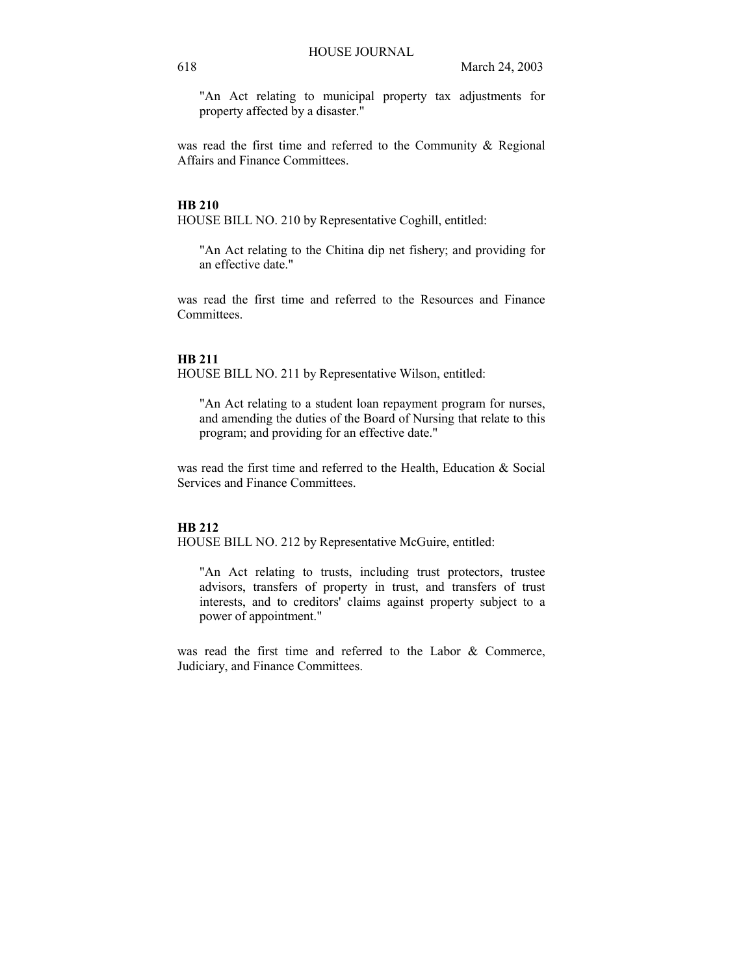"An Act relating to municipal property tax adjustments for property affected by a disaster."

was read the first time and referred to the Community & Regional Affairs and Finance Committees.

### **HB 210**

HOUSE BILL NO. 210 by Representative Coghill, entitled:

"An Act relating to the Chitina dip net fishery; and providing for an effective date."

was read the first time and referred to the Resources and Finance **Committees** 

### **HB 211**

HOUSE BILL NO. 211 by Representative Wilson, entitled:

"An Act relating to a student loan repayment program for nurses, and amending the duties of the Board of Nursing that relate to this program; and providing for an effective date."

was read the first time and referred to the Health, Education & Social Services and Finance Committees.

# **HB 212**

HOUSE BILL NO. 212 by Representative McGuire, entitled:

"An Act relating to trusts, including trust protectors, trustee advisors, transfers of property in trust, and transfers of trust interests, and to creditors' claims against property subject to a power of appointment."

was read the first time and referred to the Labor & Commerce, Judiciary, and Finance Committees.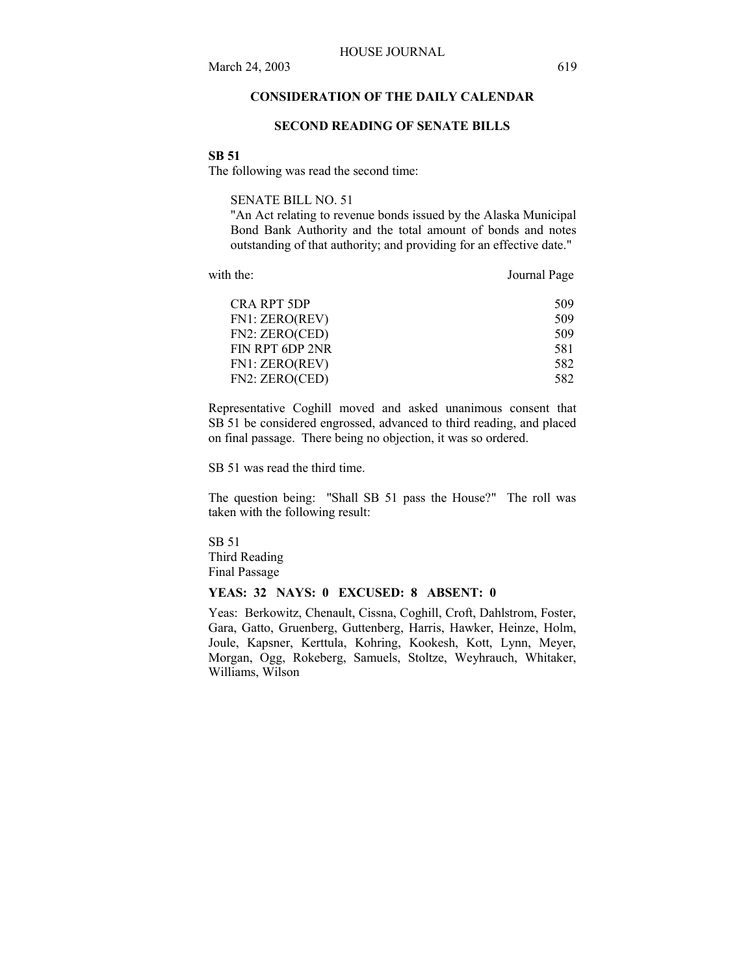# **CONSIDERATION OF THE DAILY CALENDAR**

### **SECOND READING OF SENATE BILLS**

#### **SB 51**

The following was read the second time:

SENATE BILL NO. 51

"An Act relating to revenue bonds issued by the Alaska Municipal Bond Bank Authority and the total amount of bonds and notes outstanding of that authority; and providing for an effective date."

with the: **Journal Page** 

| 509 |
|-----|
| 509 |
| 509 |
| 581 |
| 582 |
| 582 |
|     |

Representative Coghill moved and asked unanimous consent that SB 51 be considered engrossed, advanced to third reading, and placed on final passage. There being no objection, it was so ordered.

SB 51 was read the third time.

The question being: "Shall SB 51 pass the House?" The roll was taken with the following result:

SB 51 Third Reading Final Passage

# **YEAS: 32 NAYS: 0 EXCUSED: 8 ABSENT: 0**

Yeas: Berkowitz, Chenault, Cissna, Coghill, Croft, Dahlstrom, Foster, Gara, Gatto, Gruenberg, Guttenberg, Harris, Hawker, Heinze, Holm, Joule, Kapsner, Kerttula, Kohring, Kookesh, Kott, Lynn, Meyer, Morgan, Ogg, Rokeberg, Samuels, Stoltze, Weyhrauch, Whitaker, Williams, Wilson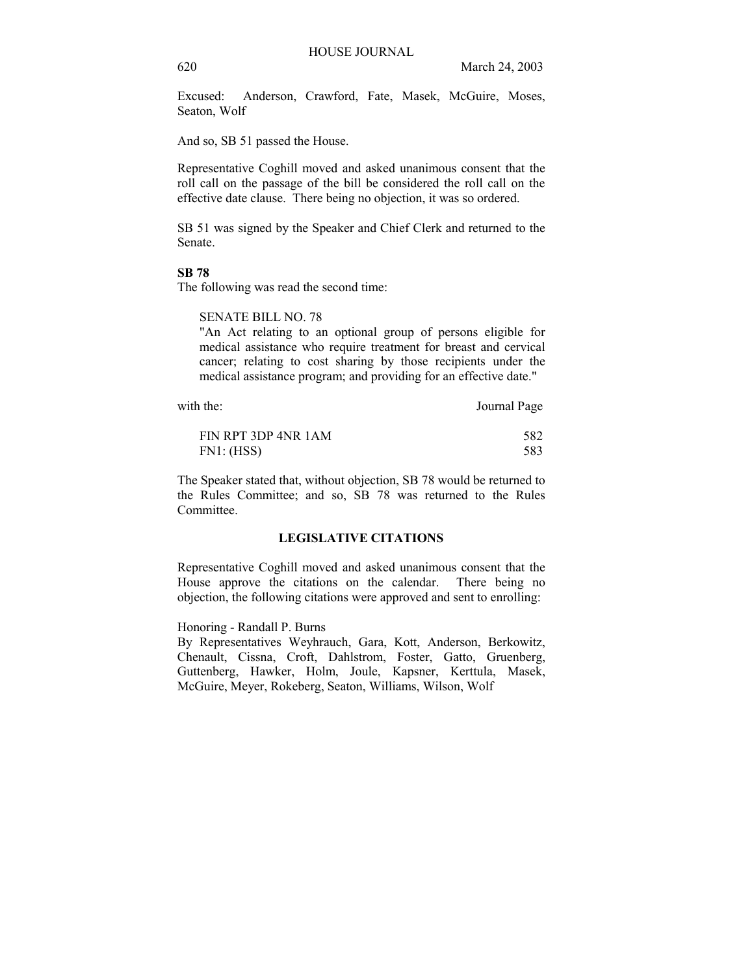Excused: Anderson, Crawford, Fate, Masek, McGuire, Moses, Seaton, Wolf

And so, SB 51 passed the House.

Representative Coghill moved and asked unanimous consent that the roll call on the passage of the bill be considered the roll call on the effective date clause. There being no objection, it was so ordered.

SB 51 was signed by the Speaker and Chief Clerk and returned to the Senate.

# **SB 78**

The following was read the second time:

### SENATE BILL NO. 78

"An Act relating to an optional group of persons eligible for medical assistance who require treatment for breast and cervical cancer; relating to cost sharing by those recipients under the medical assistance program; and providing for an effective date."

with the: Journal Page

| FIN RPT 3DP 4NR 1AM | 582 |
|---------------------|-----|
| FN1: (HSS)          | 583 |

The Speaker stated that, without objection, SB 78 would be returned to the Rules Committee; and so, SB 78 was returned to the Rules Committee.

# **LEGISLATIVE CITATIONS**

Representative Coghill moved and asked unanimous consent that the House approve the citations on the calendar. There being no objection, the following citations were approved and sent to enrolling:

# Honoring - Randall P. Burns

By Representatives Weyhrauch, Gara, Kott, Anderson, Berkowitz, Chenault, Cissna, Croft, Dahlstrom, Foster, Gatto, Gruenberg, Guttenberg, Hawker, Holm, Joule, Kapsner, Kerttula, Masek, McGuire, Meyer, Rokeberg, Seaton, Williams, Wilson, Wolf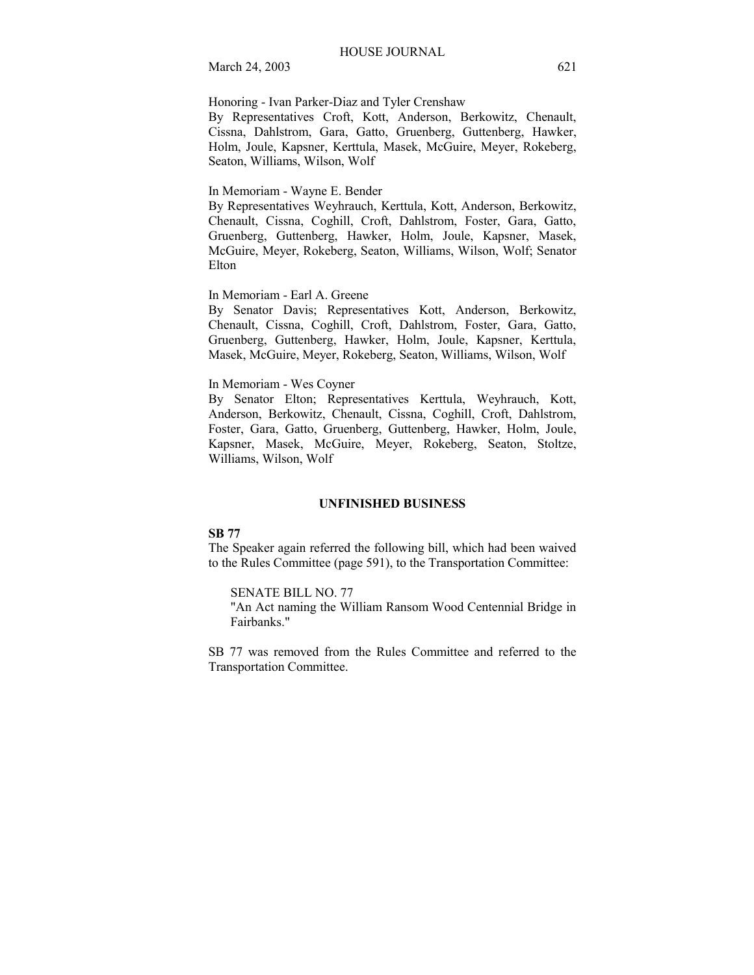Honoring - Ivan Parker-Diaz and Tyler Crenshaw

By Representatives Croft, Kott, Anderson, Berkowitz, Chenault, Cissna, Dahlstrom, Gara, Gatto, Gruenberg, Guttenberg, Hawker, Holm, Joule, Kapsner, Kerttula, Masek, McGuire, Meyer, Rokeberg, Seaton, Williams, Wilson, Wolf

### In Memoriam - Wayne E. Bender

By Representatives Weyhrauch, Kerttula, Kott, Anderson, Berkowitz, Chenault, Cissna, Coghill, Croft, Dahlstrom, Foster, Gara, Gatto, Gruenberg, Guttenberg, Hawker, Holm, Joule, Kapsner, Masek, McGuire, Meyer, Rokeberg, Seaton, Williams, Wilson, Wolf; Senator Elton

In Memoriam - Earl A. Greene

By Senator Davis; Representatives Kott, Anderson, Berkowitz, Chenault, Cissna, Coghill, Croft, Dahlstrom, Foster, Gara, Gatto, Gruenberg, Guttenberg, Hawker, Holm, Joule, Kapsner, Kerttula, Masek, McGuire, Meyer, Rokeberg, Seaton, Williams, Wilson, Wolf

### In Memoriam - Wes Coyner

By Senator Elton; Representatives Kerttula, Weyhrauch, Kott, Anderson, Berkowitz, Chenault, Cissna, Coghill, Croft, Dahlstrom, Foster, Gara, Gatto, Gruenberg, Guttenberg, Hawker, Holm, Joule, Kapsner, Masek, McGuire, Meyer, Rokeberg, Seaton, Stoltze, Williams, Wilson, Wolf

### **UNFINISHED BUSINESS**

### **SB 77**

The Speaker again referred the following bill, which had been waived to the Rules Committee (page 591), to the Transportation Committee:

### SENATE BILL NO. 77

"An Act naming the William Ransom Wood Centennial Bridge in Fairbanks."

SB 77 was removed from the Rules Committee and referred to the Transportation Committee.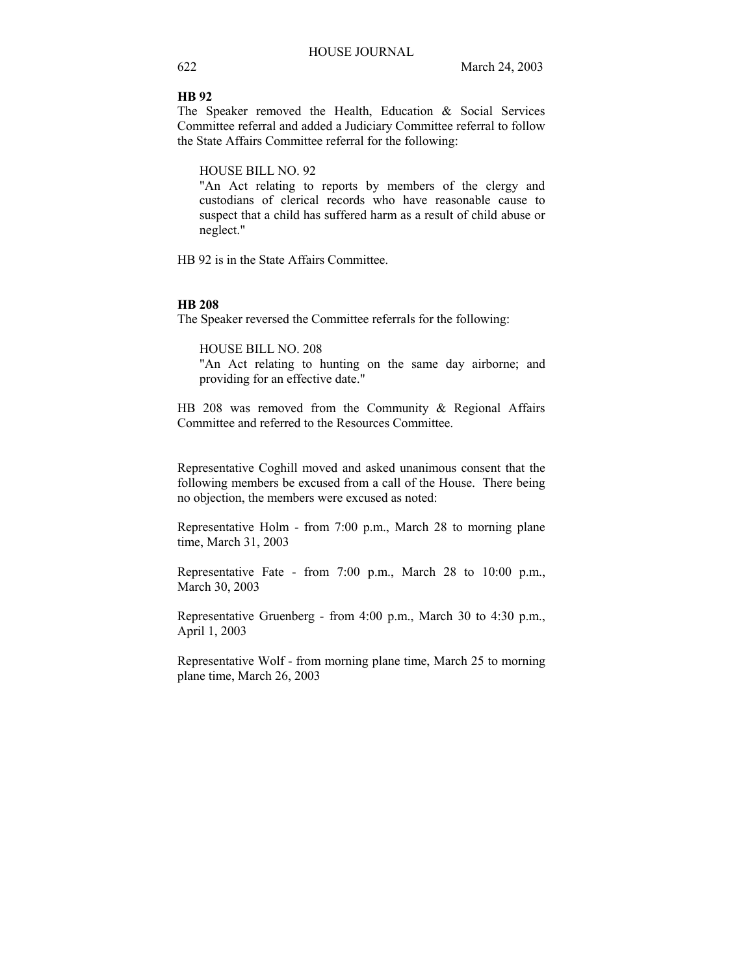# **HB 92**

The Speaker removed the Health, Education & Social Services Committee referral and added a Judiciary Committee referral to follow the State Affairs Committee referral for the following:

HOUSE BILL NO. 92

"An Act relating to reports by members of the clergy and custodians of clerical records who have reasonable cause to suspect that a child has suffered harm as a result of child abuse or neglect."

HB 92 is in the State Affairs Committee.

# **HB 208**

The Speaker reversed the Committee referrals for the following:

HOUSE BILL NO. 208 "An Act relating to hunting on the same day airborne; and providing for an effective date."

HB 208 was removed from the Community & Regional Affairs Committee and referred to the Resources Committee.

Representative Coghill moved and asked unanimous consent that the following members be excused from a call of the House. There being no objection, the members were excused as noted:

Representative Holm - from 7:00 p.m., March 28 to morning plane time, March 31, 2003

Representative Fate - from 7:00 p.m., March 28 to 10:00 p.m., March 30, 2003

Representative Gruenberg - from 4:00 p.m., March 30 to 4:30 p.m., April 1, 2003

Representative Wolf - from morning plane time, March 25 to morning plane time, March 26, 2003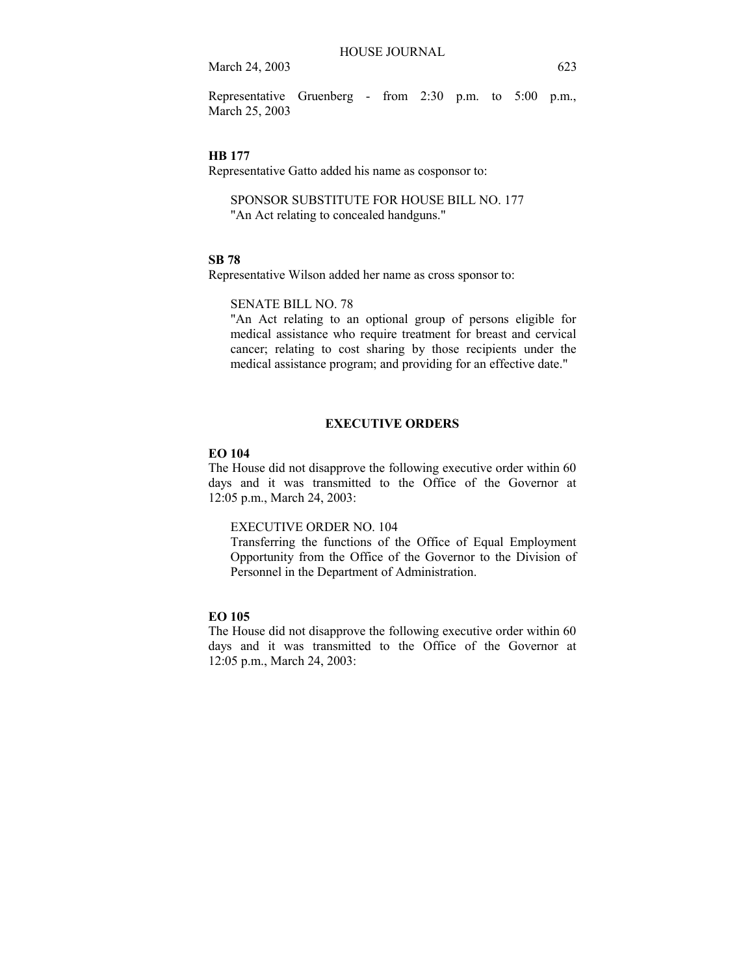Representative Gruenberg - from 2:30 p.m. to 5:00 p.m., March 25, 2003

#### **HB 177**

Representative Gatto added his name as cosponsor to:

SPONSOR SUBSTITUTE FOR HOUSE BILL NO. 177 "An Act relating to concealed handguns."

#### **SB 78**

Representative Wilson added her name as cross sponsor to:

# SENATE BILL NO. 78

"An Act relating to an optional group of persons eligible for medical assistance who require treatment for breast and cervical cancer; relating to cost sharing by those recipients under the medical assistance program; and providing for an effective date."

### **EXECUTIVE ORDERS**

# **EO 104**

The House did not disapprove the following executive order within 60 days and it was transmitted to the Office of the Governor at 12:05 p.m., March 24, 2003:

# EXECUTIVE ORDER NO. 104

Transferring the functions of the Office of Equal Employment Opportunity from the Office of the Governor to the Division of Personnel in the Department of Administration.

# **EO 105**

The House did not disapprove the following executive order within 60 days and it was transmitted to the Office of the Governor at 12:05 p.m., March 24, 2003: